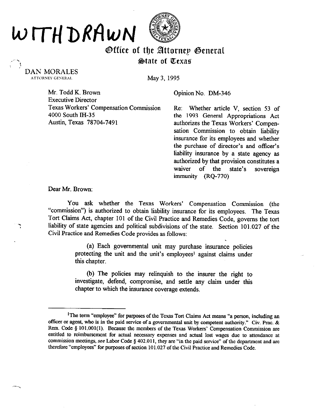## WITHDRAWN



## Office of the Attorney General  $\oint$ tate of Texas

DAN MORALES<br>ATTORNEY GENERAL

May 3, 1995

Mr. Todd K. Brown **Opinion No. DM-346** Executive Director Texas Workers' Compensation Commission 4000 South M-35 Austin, Texas 78704-7491

Re: Whether article V, section 53 of the 1993 General Appropriations Act authorizes the Texas Workers' Compensation Commission to obtain liability insurance for its employees and whether the purchase of director's and officer's liability insurance by a state agency as authorized by that provision constitutes a waiver of the state's sovereign immunity (RQ-770)

Dear Mr. Brown:

You ask whether the Texas Workers' Compensation Commission (the "commission") is authorized to obtain liability insurance for its employees. The Texas Tort Claims Act, chapter 101 of the Civil Practice and Remedies Code, governs the tort liability of state agencies and political subdivisions of the state. Section 101.027 of the Civil Practice and Remedies Code provides as follows:

> (a) Each governmental unit may purchase insurance policies protecting the unit and the unit's employees' against claims under this chapter.

> (b) The policies may relinquish to the insurer the right to investigate, defend, compromise, and settle any claim under this chapter to which the insurance coverage extends.

<sup>&</sup>lt;sup>1</sup>The term "employee" for purposes of the Texas Tort Claims Act means "a person, including an officer or agent, who is in the paid service of a governmental unit by competent authority." Civ. Prac. & Rem. Code § 101.001(1). Because the members of the Texas Workers' Compensation Commission are entitled to reimbursement for actual necessary expenses and actual lost wages due to attendance at commission meetings, see Labor Code § 402.011, they are "in the paid service" of the department and are therefore "employees" for purposes of section 101.027 of the Civil Practice and Remedies Code.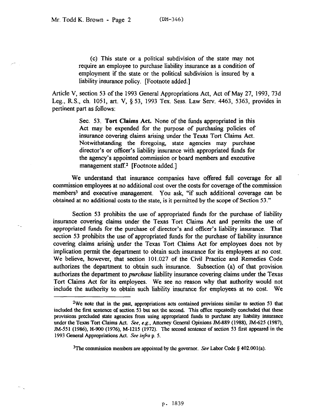(c) This state or a political subdivision of the state may not require an employee to purchase liability insurance as a condition of employment if the state or the political subdivision is insured by a liability insurance policy. [Footnote added.]

Article V, section 53 of the 1993 General Appropriations Act, Act of May 27, 1993, 73d Leg., R.S., ch. 1051, art. V, 5 53, 1993 Tex. Sess. Law Serv. 4463, 5363, provides in pertinent part as follows:

> **Sec. 53. Tort Claims Act.** None of the funds appropriated in this Act may be expended for the purpose of purchasing policies of insurance covering claims arising under the Texas Tort Claims Act. Notwithstanding the foregoing, state agencies may purchase director's or officer's liability insurance with appropriated funds for the agency's appointed commission or board members and executive management staff.<sup>2</sup> [Footnote added.]

We understand that insurance companies have offered full coverage for all commission employees at no additional cost over the costs for coverage of the commission members3 and executive management. You ask, "if such additional coverage can be obtained at no additional costs to the state, is it permitted by the scope of Section 53."

Section 53 prohibits the use of appropriated fhnds for the purchase of liability insurance covering claims under the Texas Tort Claims Act and permits the use of appropriated funds for the purchase of director's and officer's liability insurance. That section 53 prohibits the use of appropriated funds for the purchase of liability insurance covering claims arising under the Texas Tort Claims Act for employees does not by implication permit the department to obtain such insurance for its employees at no cost. We believe, however, that section 101.027 of the Civil Practice and Remedies Code authorizes the department to obtain such insurance. Subsection (a) of that provision authorizes the department to *purchase* liability insurance covering claims under the Texas Tort Claims Act for its employees. We see no reason why that authority would not include the authority to obtain such liability insurance for employees at no cost. We

<sup>&</sup>lt;sup>2</sup>We note that in the past, appropriations acts contained provisions similar to section 53 that included the first sentence of section 53 but not the second. This office repeatedly concluded that these provisions precluded state agencies from using appropriated funds to purchase any liability insurance under the Texas Tort Claims Act. See, e.g., Attorney General Opinions JM-889 (1988), JM-625 (1987), N-551 (1986), H-900 (1976), M-1215 (1972). The second sentence of section 53 first appeared in the 1993 General Appropriations Act. See infra p. 5.

<sup>&</sup>lt;sup>3</sup>The commission members are appointed by the governor. See Labor Code  $\S$  402.001(a).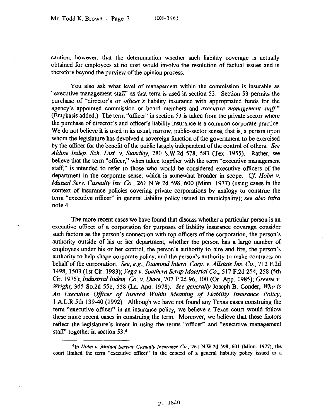caution, however, that the determination whether such liability coverage is actually obtained for employees at no cost would involve the resolution of factual issues and is therefore beyond the purview of the opinion process.

You also ask what level of management within the commission is insurable as "executive management staff' as that term is used in section 53. Section 53 permits the purchase of "director's or *officer's* liability insurance with appropriated funds for the agency's appointed commission or board members and *executive management staff."*  (Emphasis added.) The term "officer" in section 53 is taken from the private sector where the purchase of director's and officer's liability insurance is a common corporate practice. We do not believe it is used in its usual, narrow, public-sector sense, that is, a person upon whom the legislature has devolved a sovereign function of the government to be exercised by the officer for the benefit of the public largely independent of the control of others. See *Aldine Indep. Sch. Dist.* v. *Standley,* 280 S.W.2d 578, 583 (Tex. 1955). Rather, we believe that the term "officer," when taken together with the term "executive management staff," is intended to refer to those who would be considered executive officers of the department in the corporate sense, which is somewhat broader in scope. Cf. Holm v. *Mutual Serv. Casualty Ins. Co.*, 261 N.W.2d 598, 600 (Minn. 1977) (using cases in the context of insurance policies covering private corporations by analogy to construe the term "executive officer" in general liability policy issued to municipality); see also infra note 4.

The more recent cases we have found that discuss whether a particular person is an executive officer of a corporation for purposes of liability insurance coverage consider such factors as the person's connection with top officers of the corporation, the person's authority outside of his or her department, whether the person has a large number of employees under his or her control, the person's authority to hire and fire, the person's authority to help shape corporate policy, and the person's authority to make contracts on behalf of the corporation. *See, e.g., Diamond Intern. Corp. v. Allstate Ins. Co.,* 712 F.2d 1498, 1503 (1st Cir. 1983); *Vega v. Southern ScrapMaterial Co.,* 517 F.2d 254, 258 (5th Cir. 1975); *Industrial Indem. Co. v. Duwe, 707* P.2d 96, 100 (Or. App. 1985); Greene v. *Wright, 365 So.2d 551, 558 (La. App. 1978). See generally Joseph B. Conder, Who is An Executive Oficer of Insured Within Meaning of Liability Insurance Policy,*  1 A.L.R.Sth 139-40 (1992). Although we have not found any Texas cases construing the term "executive officer" in an insurance policy, we believe a Texas court would follow these more recent cases in construing the term, Moreover, we believe that these factors reflect the legislature's intent in using the terms "officer" and "executive management staff" together in section 53.4

<sup>41</sup>n *Helm v. Mutual Service Casuaity Insurance Co.,* 261 N.W.Zd 598, 601 (Minn. I977), tbe court limited the term "executive officer" in the context of a general liability policy issued to a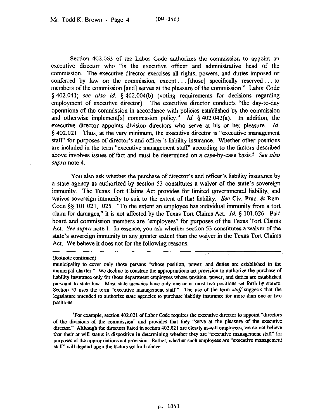Section 402.063 of the Labor Code authorizes the commission to appoint an executive director who "is the executive officer and administrative head of the commission. The executive director exercises all rights, powers, and duties imposed or conferred by law on the commission, except  $\ldots$  [those] specifically reserved  $\ldots$  to members of the commission [and] serves at the pleasure of the commission." Labor Code § 402.041; see also id. § 402.004(b) (voting requirements for decisions regarding employment of executive director). The executive director conducts "the day-to-day operations of the commission in accordance with policies established by the commission and otherwise implement[s] commission policy." *Id.* § 402.042(a). In addition, the executive director appoints division directors who serve at his or her pleasure. *Id.*  § 402.021. Thus, at the very minimum, the executive director is "executive management staff' for purposes of director's and officer's liability insurance. Whether other positions are included in the term "executive management staff" according to the factors described above involves issues of fact and must be determined on a case-by-case basis.<sup>5</sup> See also *mpra* note 4.

You also ask whether the purchase of director's and officer's liability insurance by a state agency as authorized by section 53 constitutes a waiver of the state's sovereign immunity. The Texas Tort Claims Act provides for limited governmental liability, and waives sovereign immunity to suit to the extent of that liability. See Civ. Prac. & Rem. Code  $\S$ § 101.021, .025. "To the extent an employee has individual immunity from a tort claim for damages," it is not affected by the Texas Tort Claims Act. *Id. 5* 101.026. Paid board and commission members are "employees" for purposes of the Texas Tort Claims Act. See *supra* note 1. In essence, you ask whether section 53 constitutes a waiver of the state's sovereign immunity to any greater extent than the waiver in the Texas Tort Claims Act. We believe it does not for the following reasons.

<sup>5</sup>For example, section 402.021 of Labor Code requires the executive director to appoint "directors" of the divisions of the commission" and provides that they "serve at the pleasure of the executive director." Although the directors listed in section 402.021 are clearly at-will employees, we do not believe that their at-will status is dispositive in determining whether they are "executive management staff" for purposes of the appropriations act provision. Rather, whether such employees are "executive management staff' will depend upon the factors set forth above.

<sup>(</sup>footnote continned)

nnmicipahty to cover only those persons "whose position, power, and duties are established in the municipal charter." We decline to construe the appropriations act provision to authorize the purchase of liability insurance only for those department employees whose position, power, and duties are established pursuant to state law. Most state agencies have only one or at most two positions set forth by statute. Section 53 uses the term "executive management staff." The use of the term staff suggests that the legislature intended to authorize state agencies to purchase liability insurance for more than one or two positions.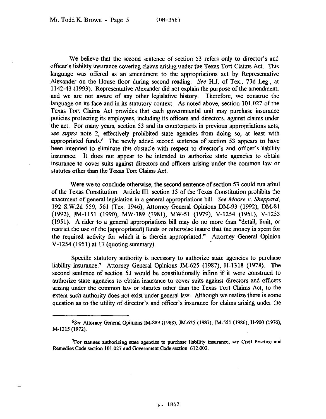We believe that the second sentence of section 53 refers only to director's and ofiicer's liability insurance covering claims arising under the Texas Tort Claims Act. This language was offered as an amendment to the appropriations act by Representative Alexander on the House floor during second reading. See H.J. of Tex., 73d Leg., at 1142-43 (1993). Representative Alexander did not explain the purpose of the amendment, and we are not aware of any other legislative history. Therefore, we construe the language on its face and in its statutory context. As noted above, section 101.027 of the Texas Tort Claims Act provides that each governmental unit may purchase insurance policies protecting its employees, including its officers and directors, against claims under the act. For many years, section 53 and its counterparts in previous appropriations acts, see *mpm* note 2, effectively prohibited state agencies from doing so, at least with appropriated funds.6 The newly added second sentence of section 53 appears to have been intended to eliminate this obstacle with respect to director's and officer's liability insurance. It does not appear to be intended to authorize state agencies to obtain insurance to cover suits against directors and officers arising under the common law or statutes other than the Texas Tort Claims Act.

Were we to conclude otherwise, the second sentence of section 53 could run afoul of the Texas Constitution, Article III, section 35 of the Texas Constitution prohibits the enactment of general legislation in a general appropriations bill. See Moore v. *Sheppard,*  192 S.W.2d 559, 561 (Tex. 1946); Attorney General Opinions DM-93 (1992), DM-81 (1992), JM-1151 (1990), MW-389 (1981), MW-51 (1979), V-1254 (1951), V-1253 (1951). A rider to a general appropriations bill may do no more than "detail, limit, or restrict the use of the [appropriated] funds or otherwise insure that the money is spent for the required activity for which it is therein appropriated." Attorney General Opinion V-1254 (1951) at 17 (quoting summary).

Specific statutory authority is necessary to authorize state agencies to purchase liability insurance.7 Attorney General Opinions TM-625 (1987), H-1318 (1978). The second sentence of section 53 would be constitutionally intirm if it were construed to authorize state agencies to obtain insurance to cover suits against directors and officers arising under the common law or statutes other than the Texas Tort Claims Act, to the extent such authority does not exist under general law. Although we realize there is some question as to the utility of director's and *officer's* insurance for claims arising under the

<sup>%</sup>ee Attorney General Opinions JM-889 (1988), JM&25 (1987), JM-551 (1986), H-900 (1976), M-1215 (1972).

<sup>&</sup>lt;sup>7</sup>For statutes authorizing state agencies to purchase liability insurance, see Civil Practice and Remedies Code section 101.027 and Government Code section 612.002.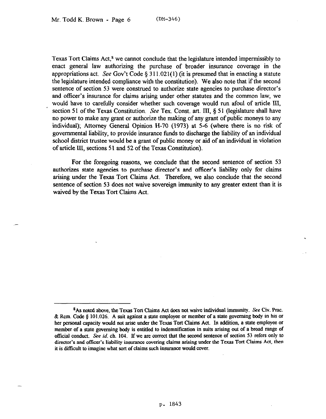Texas Tort Claims Act, $\delta$  we cannot conclude that the legislature intended impermissibly to enact general law authorizing the purchase of broader insurance coverage in the appropriations act. See Gov't Code § 311.021(1) (it is presumed that in enacting a statute the legislature intended compliance with the constitution). We also note that if the second sentence of section 53 were construed to authorize state agencies to purchase director's and officer's insurance for claims arising under other statutes and the common law, we would have to carefully consider whether such coverage would run afoul of article III, section 51 of the Texas Constitution. See Tex. Const. art. III, § 51 (legislature shall have no power to make any grant or authorize the making of any grant of public moneys to any individual); Attorney General Opinion H-70 (1973) at 5-6 (where there is no risk of governmental liability, to provide insurance fimds to discharge the liability of an individual school district trustee would be a grant of public money or aid of an individual in violation of article III, sections 51 and 52 of the Texas Constitution).

For the foregoing reasons, we conclude that the second sentence of section 53 authorizes state agencies to purchase director's and officer's liability only for claims arising under the Texas Tort Claims Act. Therefore, we also conclude that the second sentence of section 53 does not waive sovereign immunity to any greater extent than it is waived by the Texas Tort Claims Act.

<sup>&</sup>lt;sup>8</sup>As noted above, the Texas Tort Claims Act does not waive individual immunity. See Civ. Prac. & Rem. Code  $\S$  101.026. A suit against a state employee or member of a state governing body in his or her personal capacity would not arise under the Texas Tort Claims Act. In addition, a state employee or member of a state governing body is entitled to indemnitieation in suits arising out of a bread range of official conduct. See id. ch. 104. If we are correct that the second sentence of section 53 refers only to director's and officer's liability insurance covering claims arising under the Texas Tort Claims Act, then it is difficult to imagine what sort of claims such insnrance would cover.